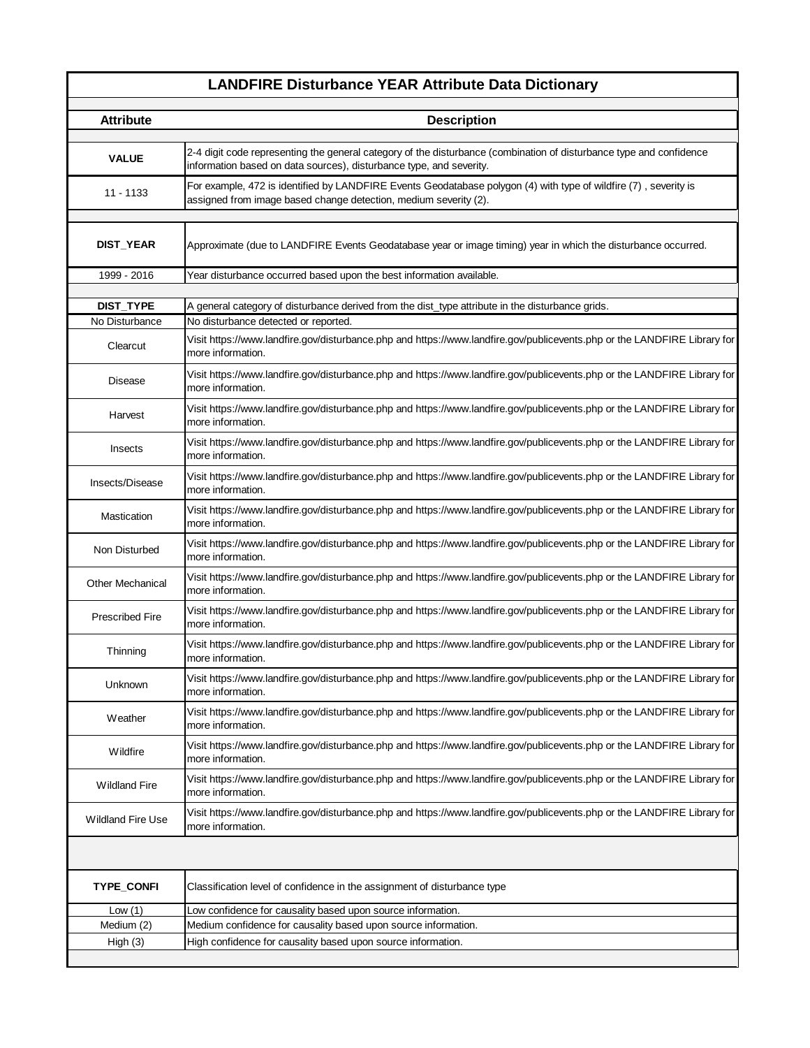## **LANDFIRE Disturbance YEAR Attribute Data Dictionary**

| <b>Attribute</b>         | <b>Description</b>                                                                                                                                                                         |
|--------------------------|--------------------------------------------------------------------------------------------------------------------------------------------------------------------------------------------|
|                          |                                                                                                                                                                                            |
| <b>VALUE</b>             | 2-4 digit code representing the general category of the disturbance (combination of disturbance type and confidence<br>information based on data sources), disturbance type, and severity. |
| $11 - 1133$              | For example, 472 is identified by LANDFIRE Events Geodatabase polygon (4) with type of wildfire (7), severity is<br>assigned from image based change detection, medium severity (2).       |
|                          |                                                                                                                                                                                            |
| <b>DIST_YEAR</b>         | Approximate (due to LANDFIRE Events Geodatabase year or image timing) year in which the disturbance occurred.                                                                              |
| 1999 - 2016              | Year disturbance occurred based upon the best information available.                                                                                                                       |
| <b>DIST_TYPE</b>         |                                                                                                                                                                                            |
| No Disturbance           | A general category of disturbance derived from the dist_type attribute in the disturbance grids.<br>No disturbance detected or reported.                                                   |
|                          |                                                                                                                                                                                            |
| Clearcut                 | Visit https://www.landfire.gov/disturbance.php and https://www.landfire.gov/publicevents.php or the LANDFIRE Library for<br>more information.                                              |
| Disease                  | Visit https://www.landfire.gov/disturbance.php and https://www.landfire.gov/publicevents.php or the LANDFIRE Library for<br>more information.                                              |
| Harvest                  | Visit https://www.landfire.gov/disturbance.php and https://www.landfire.gov/publicevents.php or the LANDFIRE Library for<br>more information.                                              |
| Insects                  | Visit https://www.landfire.gov/disturbance.php and https://www.landfire.gov/publicevents.php or the LANDFIRE Library for<br>more information.                                              |
| Insects/Disease          | Visit https://www.landfire.gov/disturbance.php and https://www.landfire.gov/publicevents.php or the LANDFIRE Library for<br>more information.                                              |
| Mastication              | Visit https://www.landfire.gov/disturbance.php and https://www.landfire.gov/publicevents.php or the LANDFIRE Library for<br>more information.                                              |
| Non Disturbed            | Visit https://www.landfire.gov/disturbance.php and https://www.landfire.gov/publicevents.php or the LANDFIRE Library for<br>more information.                                              |
| <b>Other Mechanical</b>  | Visit https://www.landfire.gov/disturbance.php and https://www.landfire.gov/publicevents.php or the LANDFIRE Library for<br>more information.                                              |
| <b>Prescribed Fire</b>   | Visit https://www.landfire.gov/disturbance.php and https://www.landfire.gov/publicevents.php or the LANDFIRE Library for<br>more information.                                              |
| Thinning                 | Visit https://www.landfire.gov/disturbance.php and https://www.landfire.gov/publicevents.php or the LANDFIRE Library for<br>more information.                                              |
| Unknown                  | Visit https://www.landfire.gov/disturbance.php and https://www.landfire.gov/publicevents.php or the LANDFIRE Library for<br>more information.                                              |
| Weather                  | Visit https://www.landfire.gov/disturbance.php and https://www.landfire.gov/publicevents.php or the LANDFIRE Library for<br>more information.                                              |
| Wildfire                 | Visit https://www.landfire.gov/disturbance.php and https://www.landfire.gov/publicevents.php or the LANDFIRE Library for<br>more information.                                              |
| <b>Wildland Fire</b>     | Visit https://www.landfire.gov/disturbance.php and https://www.landfire.gov/publicevents.php or the LANDFIRE Library for<br>more information.                                              |
| <b>Wildland Fire Use</b> | Visit https://www.landfire.gov/disturbance.php and https://www.landfire.gov/publicevents.php or the LANDFIRE Library for<br>more information.                                              |
|                          |                                                                                                                                                                                            |
| <b>TYPE_CONFI</b>        | Classification level of confidence in the assignment of disturbance type                                                                                                                   |
| Low $(1)$                | Low confidence for causality based upon source information.                                                                                                                                |
| Medium (2)               | Medium confidence for causality based upon source information.                                                                                                                             |
| High(3)                  | High confidence for causality based upon source information.                                                                                                                               |